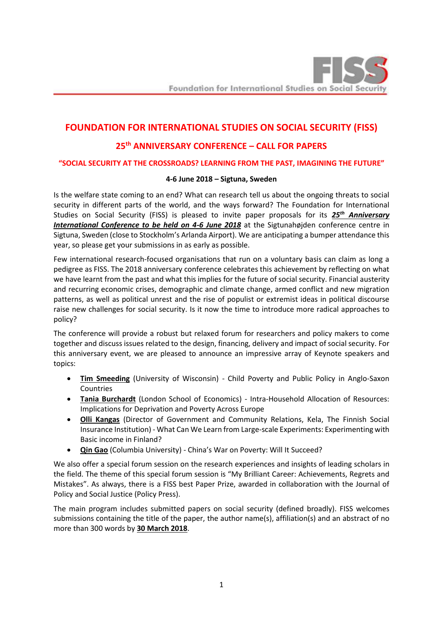# **FOUNDATION FOR INTERNATIONAL STUDIES ON SOCIAL SECURITY (FISS)**

# **25th ANNIVERSARY CONFERENCE – CALL FOR PAPERS**

## **"SOCIAL SECURITY AT THE CROSSROADS? LEARNING FROM THE PAST, IMAGINING THE FUTURE"**

### **4-6 June 2018 – Sigtuna, Sweden**

Is the welfare state coming to an end? What can research tell us about the ongoing threats to social security in different parts of the world, and the ways forward? The Foundation for International Studies on Social Security (FISS) is pleased to invite paper proposals for its *25th Anniversary International Conference to be held on 4-6 June 2018* at the Sigtunahøjden conference centre in Sigtuna, Sweden (close to Stockholm's Arlanda Airport). We are anticipating a bumper attendance this year, so please get your submissions in as early as possible.

Few international research-focused organisations that run on a voluntary basis can claim as long a pedigree as FISS. The 2018 anniversary conference celebrates this achievement by reflecting on what we have learnt from the past and what this implies for the future of social security. Financial austerity and recurring economic crises, demographic and climate change, armed conflict and new migration patterns, as well as political unrest and the rise of populist or extremist ideas in political discourse raise new challenges for social security. Is it now the time to introduce more radical approaches to policy?

The conference will provide a robust but relaxed forum for researchers and policy makers to come together and discuss issues related to the design, financing, delivery and impact of social security. For this anniversary event, we are pleased to announce an impressive array of Keynote speakers and topics:

- **Tim Smeeding** (University of Wisconsin) Child Poverty and Public Policy in Anglo-Saxon Countries
- **Tania Burchardt** (London School of Economics) Intra-Household Allocation of Resources: Implications for Deprivation and Poverty Across Europe
- **Olli Kangas** (Director of Government and Community Relations, Kela, The Finnish Social Insurance Institution) - What Can We Learn from Large-scale Experiments: Experimenting with Basic income in Finland?
- **Qin Gao** (Columbia University) China's War on Poverty: Will It Succeed?

We also offer a special forum session on the research experiences and insights of leading scholars in the field. The theme of this special forum session is "My Brilliant Career: Achievements, Regrets and Mistakes". As always, there is a FISS best Paper Prize, awarded in collaboration with the Journal of Policy and Social Justice (Policy Press).

The main program includes submitted papers on social security (defined broadly). FISS welcomes submissions containing the title of the paper, the author name(s), affiliation(s) and an abstract of no more than 300 words by **30 March 2018**.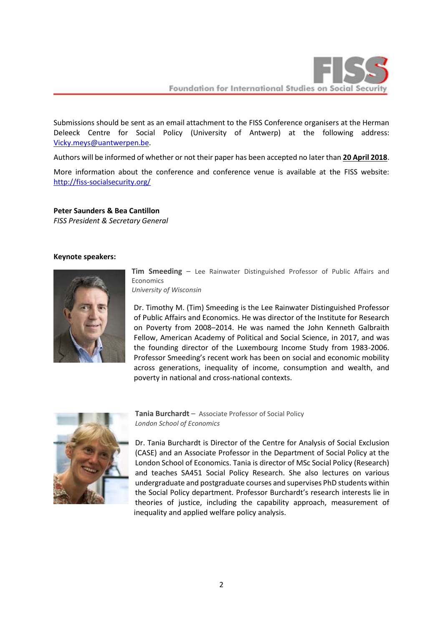

Foundation for International Studies on Social Securi

Submissions should be sent as an email attachment to the FISS Conference organisers at the Herman Deleeck Centre for Social Policy (University of Antwerp) at the following address: [Vicky.meys@uantwerpen.be.](mailto:Vicky.meys@uantwerpen.be?subject=Submission%20paper%20FISS%20Conference%202018)

Authors will be informed of whether or not their paper has been accepted no later than **20 April 2018**.

More information about the conference and conference venue is available at the FISS website: <http://fiss-socialsecurity.org/>

**Peter Saunders & Bea Cantillon**

*FISS President & Secretary General*

#### **Keynote speakers:**



**Tim Smeeding** – Lee Rainwater Distinguished Professor of Public Affairs and Economics

*University of Wisconsin*

Dr. Timothy M. (Tim) Smeeding is the Lee Rainwater Distinguished Professor of Public Affairs and Economics. He was director of the Institute for Research on Poverty from 2008–2014. He was named the John Kenneth Galbraith Fellow, American Academy of Political and Social Science, in 2017, and was the founding director of the Luxembourg Income Study from 1983-2006. Professor Smeeding's recent work has been on social and economic mobility across generations, inequality of income, consumption and wealth, and poverty in national and cross-national contexts.



**Tania Burchardt** – Associate Professor of Social Policy *London School of Economics* 

Dr. Tania Burchardt is Director of the Centre for Analysis of Social Exclusion (CASE) and an Associate Professor in the Department of Social Policy at the London School of Economics. Tania is director of MSc Social Policy (Research) and teaches SA451 Social Policy Research. She also lectures on various undergraduate and postgraduate courses and supervises PhD students within the Social Policy department. Professor Burchardt's research interests lie in theories of justice, including the capability approach, measurement of inequality and applied welfare policy analysis.